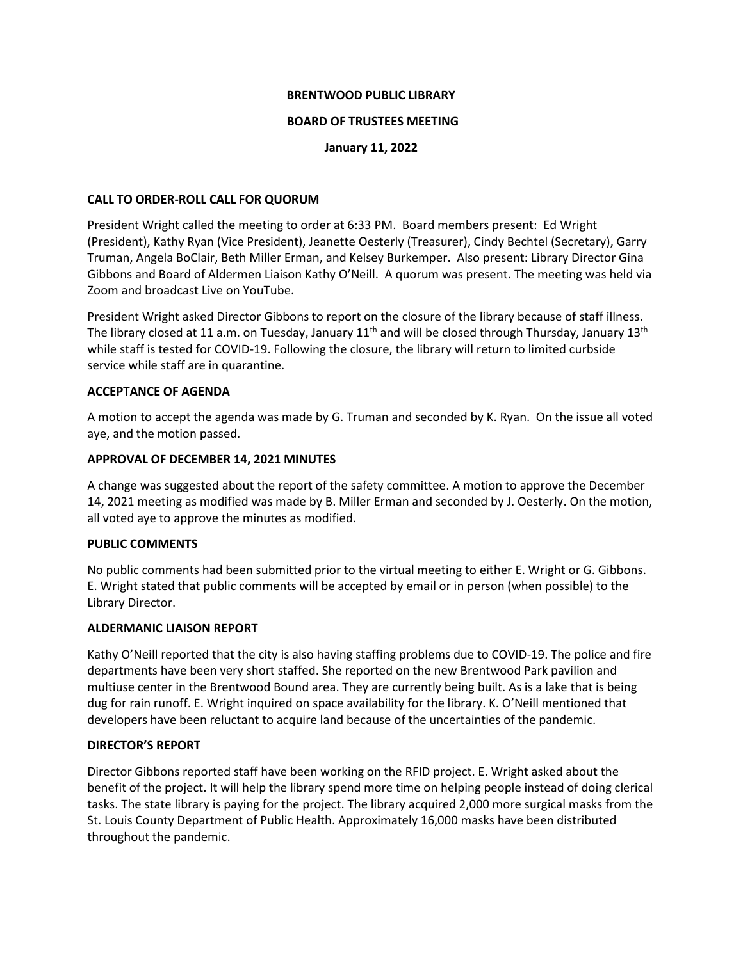# **BRENTWOOD PUBLIC LIBRARY**

### **BOARD OF TRUSTEES MEETING**

# **January 11, 2022**

# **CALL TO ORDER-ROLL CALL FOR QUORUM**

President Wright called the meeting to order at 6:33 PM. Board members present: Ed Wright (President), Kathy Ryan (Vice President), Jeanette Oesterly (Treasurer), Cindy Bechtel (Secretary), Garry Truman, Angela BoClair, Beth Miller Erman, and Kelsey Burkemper. Also present: Library Director Gina Gibbons and Board of Aldermen Liaison Kathy O'Neill. A quorum was present. The meeting was held via Zoom and broadcast Live on YouTube.

President Wright asked Director Gibbons to report on the closure of the library because of staff illness. The library closed at 11 a.m. on Tuesday, January  $11<sup>th</sup>$  and will be closed through Thursday, January  $13<sup>th</sup>$ while staff is tested for COVID-19. Following the closure, the library will return to limited curbside service while staff are in quarantine.

# **ACCEPTANCE OF AGENDA**

A motion to accept the agenda was made by G. Truman and seconded by K. Ryan. On the issue all voted aye, and the motion passed.

# **APPROVAL OF DECEMBER 14, 2021 MINUTES**

A change was suggested about the report of the safety committee. A motion to approve the December 14, 2021 meeting as modified was made by B. Miller Erman and seconded by J. Oesterly. On the motion, all voted aye to approve the minutes as modified.

#### **PUBLIC COMMENTS**

No public comments had been submitted prior to the virtual meeting to either E. Wright or G. Gibbons. E. Wright stated that public comments will be accepted by email or in person (when possible) to the Library Director.

#### **ALDERMANIC LIAISON REPORT**

Kathy O'Neill reported that the city is also having staffing problems due to COVID-19. The police and fire departments have been very short staffed. She reported on the new Brentwood Park pavilion and multiuse center in the Brentwood Bound area. They are currently being built. As is a lake that is being dug for rain runoff. E. Wright inquired on space availability for the library. K. O'Neill mentioned that developers have been reluctant to acquire land because of the uncertainties of the pandemic.

# **DIRECTOR'S REPORT**

Director Gibbons reported staff have been working on the RFID project. E. Wright asked about the benefit of the project. It will help the library spend more time on helping people instead of doing clerical tasks. The state library is paying for the project. The library acquired 2,000 more surgical masks from the St. Louis County Department of Public Health. Approximately 16,000 masks have been distributed throughout the pandemic.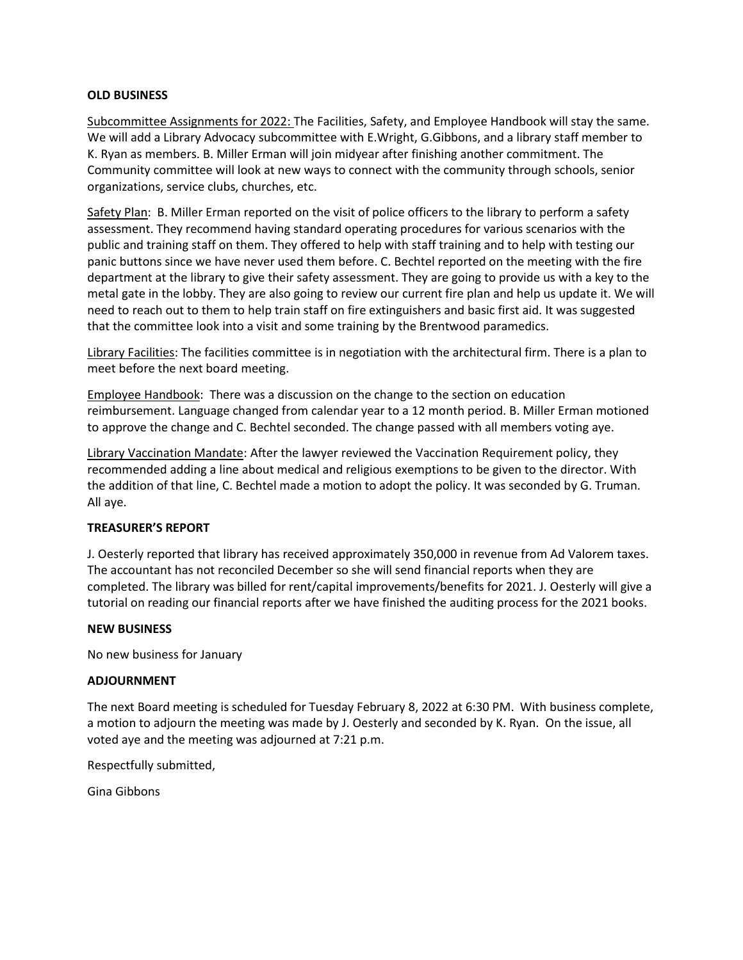### **OLD BUSINESS**

Subcommittee Assignments for 2022: The Facilities, Safety, and Employee Handbook will stay the same. We will add a Library Advocacy subcommittee with E.Wright, G.Gibbons, and a library staff member to K. Ryan as members. B. Miller Erman will join midyear after finishing another commitment. The Community committee will look at new ways to connect with the community through schools, senior organizations, service clubs, churches, etc.

Safety Plan: B. Miller Erman reported on the visit of police officers to the library to perform a safety assessment. They recommend having standard operating procedures for various scenarios with the public and training staff on them. They offered to help with staff training and to help with testing our panic buttons since we have never used them before. C. Bechtel reported on the meeting with the fire department at the library to give their safety assessment. They are going to provide us with a key to the metal gate in the lobby. They are also going to review our current fire plan and help us update it. We will need to reach out to them to help train staff on fire extinguishers and basic first aid. It was suggested that the committee look into a visit and some training by the Brentwood paramedics.

Library Facilities: The facilities committee is in negotiation with the architectural firm. There is a plan to meet before the next board meeting.

Employee Handbook: There was a discussion on the change to the section on education reimbursement. Language changed from calendar year to a 12 month period. B. Miller Erman motioned to approve the change and C. Bechtel seconded. The change passed with all members voting aye.

Library Vaccination Mandate: After the lawyer reviewed the Vaccination Requirement policy, they recommended adding a line about medical and religious exemptions to be given to the director. With the addition of that line, C. Bechtel made a motion to adopt the policy. It was seconded by G. Truman. All aye.

#### **TREASURER'S REPORT**

J. Oesterly reported that library has received approximately 350,000 in revenue from Ad Valorem taxes. The accountant has not reconciled December so she will send financial reports when they are completed. The library was billed for rent/capital improvements/benefits for 2021. J. Oesterly will give a tutorial on reading our financial reports after we have finished the auditing process for the 2021 books.

#### **NEW BUSINESS**

No new business for January

#### **ADJOURNMENT**

The next Board meeting is scheduled for Tuesday February 8, 2022 at 6:30 PM. With business complete, a motion to adjourn the meeting was made by J. Oesterly and seconded by K. Ryan. On the issue, all voted aye and the meeting was adjourned at 7:21 p.m.

Respectfully submitted,

Gina Gibbons